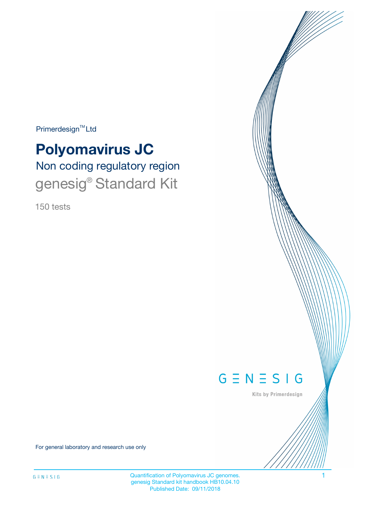Primerdesign<sup>™</sup>Ltd

# **Polyomavirus JC**

Non coding regulatory region genesig® Standard Kit

150 tests



Kits by Primerdesign

For general laboratory and research use only

Quantification of Polyomavirus JC genomes. 1 genesig Standard kit handbook HB10.04.10 Published Date: 09/11/2018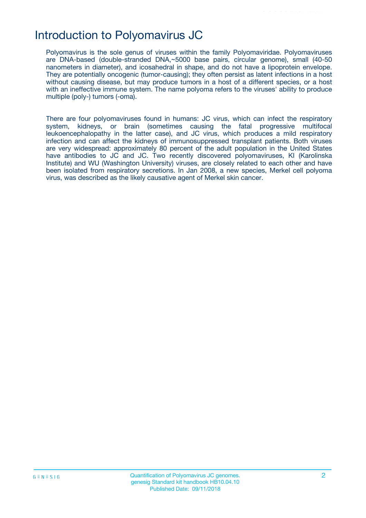# Introduction to Polyomavirus JC

Polyomavirus is the sole genus of viruses within the family Polyomaviridae. Polyomaviruses are DNA-based (double-stranded DNA,~5000 base pairs, circular genome), small (40-50 nanometers in diameter), and icosahedral in shape, and do not have a lipoprotein envelope. They are potentially oncogenic (tumor-causing); they often persist as latent infections in a host without causing disease, but may produce tumors in a host of a different species, or a host with an ineffective immune system. The name polyoma refers to the viruses' ability to produce multiple (poly-) tumors (-oma).

There are four polyomaviruses found in humans: JC virus, which can infect the respiratory system, kidneys, or brain (sometimes causing the fatal progressive multifocal leukoencephalopathy in the latter case), and JC virus, which produces a mild respiratory infection and can affect the kidneys of immunosuppressed transplant patients. Both viruses are very widespread: approximately 80 percent of the adult population in the United States have antibodies to JC and JC. Two recently discovered polyomaviruses, KI (Karolinska Institute) and WU (Washington University) viruses, are closely related to each other and have been isolated from respiratory secretions. In Jan 2008, a new species, Merkel cell polyoma virus, was described as the likely causative agent of Merkel skin cancer.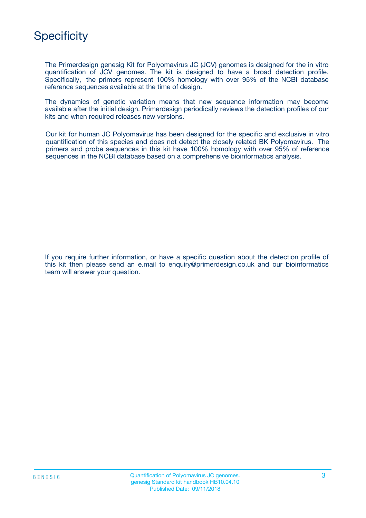# **Specificity**

The Primerdesign genesig Kit for Polyomavirus JC (JCV) genomes is designed for the in vitro quantification of JCV genomes. The kit is designed to have a broad detection profile. Specifically, the primers represent 100% homology with over 95% of the NCBI database reference sequences available at the time of design.

The dynamics of genetic variation means that new sequence information may become available after the initial design. Primerdesign periodically reviews the detection profiles of our kits and when required releases new versions.

Our kit for human JC Polyomavirus has been designed for the specific and exclusive in vitro quantification of this species and does not detect the closely related BK Polyomavirus. The primers and probe sequences in this kit have 100% homology with over 95% of reference sequences in the NCBI database based on a comprehensive bioinformatics analysis.

If you require further information, or have a specific question about the detection profile of this kit then please send an e.mail to enquiry@primerdesign.co.uk and our bioinformatics team will answer your question.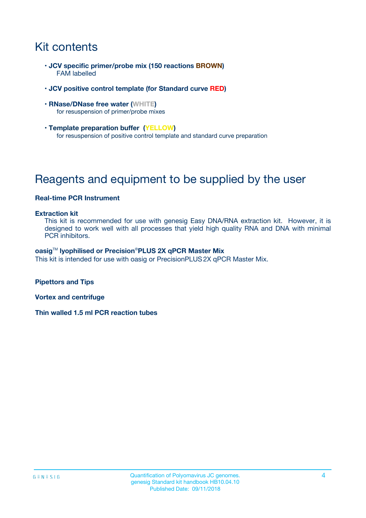# Kit contents

- **JCV specific primer/probe mix (150 reactions BROWN)** FAM labelled
- **JCV positive control template (for Standard curve RED)**
- **RNase/DNase free water (WHITE)** for resuspension of primer/probe mixes
- **Template preparation buffer (YELLOW)** for resuspension of positive control template and standard curve preparation

# Reagents and equipment to be supplied by the user

#### **Real-time PCR Instrument**

#### **Extraction kit**

This kit is recommended for use with genesig Easy DNA/RNA extraction kit. However, it is designed to work well with all processes that yield high quality RNA and DNA with minimal PCR inhibitors.

#### **oasig**TM **lyophilised or Precision**®**PLUS 2X qPCR Master Mix**

This kit is intended for use with oasig or PrecisionPLUS2X qPCR Master Mix.

**Pipettors and Tips**

**Vortex and centrifuge**

**Thin walled 1.5 ml PCR reaction tubes**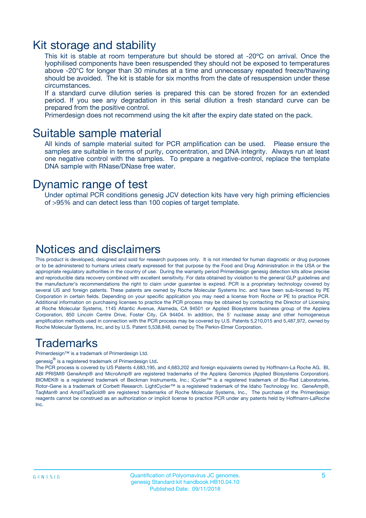### Kit storage and stability

This kit is stable at room temperature but should be stored at -20ºC on arrival. Once the lyophilised components have been resuspended they should not be exposed to temperatures above -20°C for longer than 30 minutes at a time and unnecessary repeated freeze/thawing should be avoided. The kit is stable for six months from the date of resuspension under these circumstances.

If a standard curve dilution series is prepared this can be stored frozen for an extended period. If you see any degradation in this serial dilution a fresh standard curve can be prepared from the positive control.

Primerdesign does not recommend using the kit after the expiry date stated on the pack.

### Suitable sample material

All kinds of sample material suited for PCR amplification can be used. Please ensure the samples are suitable in terms of purity, concentration, and DNA integrity. Always run at least one negative control with the samples. To prepare a negative-control, replace the template DNA sample with RNase/DNase free water.

### Dynamic range of test

Under optimal PCR conditions genesig JCV detection kits have very high priming efficiencies of >95% and can detect less than 100 copies of target template.

### Notices and disclaimers

This product is developed, designed and sold for research purposes only. It is not intended for human diagnostic or drug purposes or to be administered to humans unless clearly expressed for that purpose by the Food and Drug Administration in the USA or the appropriate regulatory authorities in the country of use. During the warranty period Primerdesign genesig detection kits allow precise and reproducible data recovery combined with excellent sensitivity. For data obtained by violation to the general GLP guidelines and the manufacturer's recommendations the right to claim under guarantee is expired. PCR is a proprietary technology covered by several US and foreign patents. These patents are owned by Roche Molecular Systems Inc. and have been sub-licensed by PE Corporation in certain fields. Depending on your specific application you may need a license from Roche or PE to practice PCR. Additional information on purchasing licenses to practice the PCR process may be obtained by contacting the Director of Licensing at Roche Molecular Systems, 1145 Atlantic Avenue, Alameda, CA 94501 or Applied Biosystems business group of the Applera Corporation, 850 Lincoln Centre Drive, Foster City, CA 94404. In addition, the 5' nuclease assay and other homogeneous amplification methods used in connection with the PCR process may be covered by U.S. Patents 5,210,015 and 5,487,972, owned by Roche Molecular Systems, Inc, and by U.S. Patent 5,538,848, owned by The Perkin-Elmer Corporation.

### Trademarks

Primerdesign™ is a trademark of Primerdesign Ltd.

genesig $^\circledR$  is a registered trademark of Primerdesign Ltd.

The PCR process is covered by US Patents 4,683,195, and 4,683,202 and foreign equivalents owned by Hoffmann-La Roche AG. BI, ABI PRISM® GeneAmp® and MicroAmp® are registered trademarks of the Applera Genomics (Applied Biosystems Corporation). BIOMEK® is a registered trademark of Beckman Instruments, Inc.; iCycler™ is a registered trademark of Bio-Rad Laboratories, Rotor-Gene is a trademark of Corbett Research. LightCycler™ is a registered trademark of the Idaho Technology Inc. GeneAmp®, TaqMan® and AmpliTaqGold® are registered trademarks of Roche Molecular Systems, Inc., The purchase of the Primerdesign reagents cannot be construed as an authorization or implicit license to practice PCR under any patents held by Hoffmann-LaRoche Inc.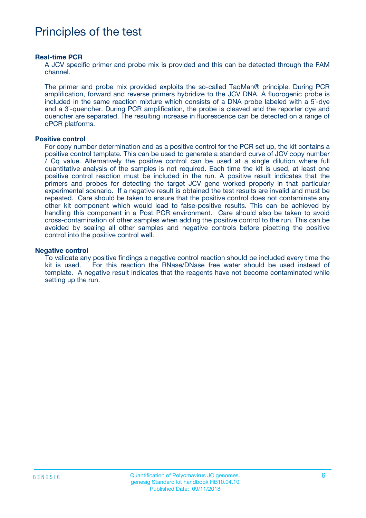# Principles of the test

#### **Real-time PCR**

A JCV specific primer and probe mix is provided and this can be detected through the FAM channel.

The primer and probe mix provided exploits the so-called TaqMan® principle. During PCR amplification, forward and reverse primers hybridize to the JCV DNA. A fluorogenic probe is included in the same reaction mixture which consists of a DNA probe labeled with a 5`-dye and a 3`-quencher. During PCR amplification, the probe is cleaved and the reporter dye and quencher are separated. The resulting increase in fluorescence can be detected on a range of qPCR platforms.

#### **Positive control**

For copy number determination and as a positive control for the PCR set up, the kit contains a positive control template. This can be used to generate a standard curve of JCV copy number / Cq value. Alternatively the positive control can be used at a single dilution where full quantitative analysis of the samples is not required. Each time the kit is used, at least one positive control reaction must be included in the run. A positive result indicates that the primers and probes for detecting the target JCV gene worked properly in that particular experimental scenario. If a negative result is obtained the test results are invalid and must be repeated. Care should be taken to ensure that the positive control does not contaminate any other kit component which would lead to false-positive results. This can be achieved by handling this component in a Post PCR environment. Care should also be taken to avoid cross-contamination of other samples when adding the positive control to the run. This can be avoided by sealing all other samples and negative controls before pipetting the positive control into the positive control well.

#### **Negative control**

To validate any positive findings a negative control reaction should be included every time the kit is used. For this reaction the RNase/DNase free water should be used instead of template. A negative result indicates that the reagents have not become contaminated while setting up the run.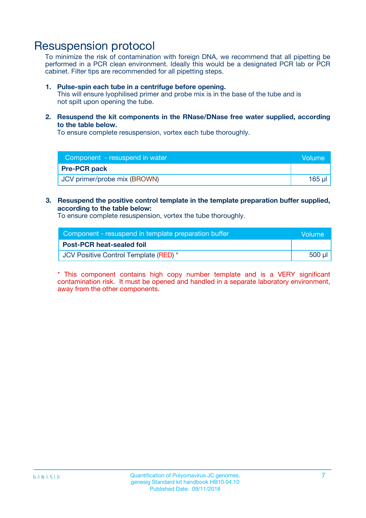### Resuspension protocol

To minimize the risk of contamination with foreign DNA, we recommend that all pipetting be performed in a PCR clean environment. Ideally this would be a designated PCR lab or PCR cabinet. Filter tips are recommended for all pipetting steps.

#### **1. Pulse-spin each tube in a centrifuge before opening.**

This will ensure lyophilised primer and probe mix is in the base of the tube and is not spilt upon opening the tube.

**2. Resuspend the kit components in the RNase/DNase free water supplied, according to the table below.**

To ensure complete resuspension, vortex each tube thoroughly.

| Component - resuspend in water | Volume      |
|--------------------------------|-------------|
| <b>Pre-PCR pack</b>            |             |
| JCV primer/probe mix (BROWN)   | $165$ $\mu$ |

#### **3. Resuspend the positive control template in the template preparation buffer supplied, according to the table below:**

To ensure complete resuspension, vortex the tube thoroughly.

| Component - resuspend in template preparation buffer | Volume  |
|------------------------------------------------------|---------|
| <b>Post-PCR heat-sealed foil</b>                     |         |
| JCV Positive Control Template (RED) *                | $500$ µ |

\* This component contains high copy number template and is a VERY significant contamination risk. It must be opened and handled in a separate laboratory environment, away from the other components.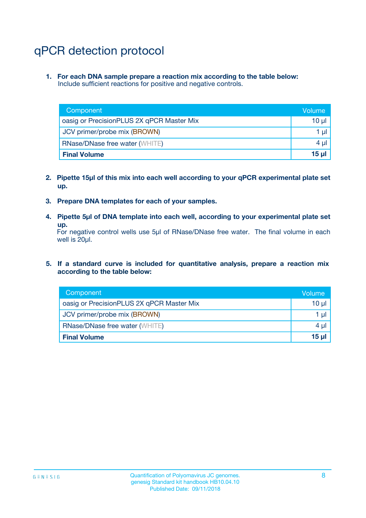# qPCR detection protocol

**1. For each DNA sample prepare a reaction mix according to the table below:** Include sufficient reactions for positive and negative controls.

| Component                                 | Volume          |
|-------------------------------------------|-----------------|
| oasig or PrecisionPLUS 2X qPCR Master Mix | 10 $\mu$        |
| JCV primer/probe mix (BROWN)              | 1 $\mu$         |
| <b>RNase/DNase free water (WHITE)</b>     | $4 \mu$         |
| <b>Final Volume</b>                       | 15 <sub>µ</sub> |

- **2. Pipette 15µl of this mix into each well according to your qPCR experimental plate set up.**
- **3. Prepare DNA templates for each of your samples.**
- **4. Pipette 5µl of DNA template into each well, according to your experimental plate set up.**

For negative control wells use 5µl of RNase/DNase free water. The final volume in each well is 20µl.

**5. If a standard curve is included for quantitative analysis, prepare a reaction mix according to the table below:**

| Component                                 | Volume          |
|-------------------------------------------|-----------------|
| oasig or PrecisionPLUS 2X qPCR Master Mix | 10 µl           |
| JCV primer/probe mix (BROWN)              | 1 µI            |
| <b>RNase/DNase free water (WHITE)</b>     | $4 \mu$         |
| <b>Final Volume</b>                       | 15 <sub>µ</sub> |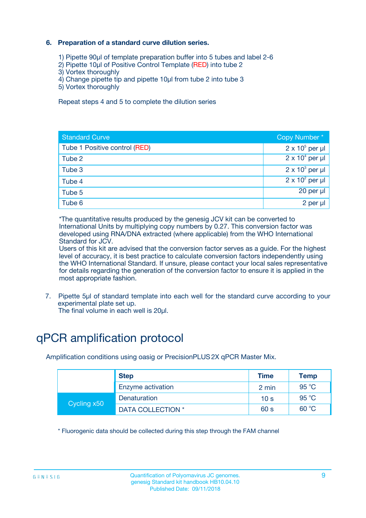### **6. Preparation of a standard curve dilution series.**

- 1) Pipette 90µl of template preparation buffer into 5 tubes and label 2-6
- 2) Pipette 10µl of Positive Control Template (RED) into tube 2
- 3) Vortex thoroughly
- 4) Change pipette tip and pipette 10µl from tube 2 into tube 3
- 5) Vortex thoroughly

Repeat steps 4 and 5 to complete the dilution series

| <b>Standard Curve</b>         | Copy Number*           |
|-------------------------------|------------------------|
| Tube 1 Positive control (RED) | $2 \times 10^5$ per µl |
| Tube 2                        | $2 \times 10^4$ per µl |
| Tube 3                        | $2 \times 10^3$ per µl |
| Tube 4                        | $2 \times 10^2$ per µl |
| Tube 5                        | $20$ per $\mu$         |
| Tube 6                        | 2 per µl               |

\*The quantitative results produced by the genesig JCV kit can be converted to International Units by multiplying copy numbers by 0.27. This conversion factor was developed using RNA/DNA extracted (where applicable) from the WHO International Standard for JCV.

Users of this kit are advised that the conversion factor serves as a guide. For the highest level of accuracy, it is best practice to calculate conversion factors independently using the WHO International Standard. If unsure, please contact your local sales representative for details regarding the generation of the conversion factor to ensure it is applied in the most appropriate fashion.

7. Pipette 5µl of standard template into each well for the standard curve according to your experimental plate set up.

The final volume in each well is 20µl.

# qPCR amplification protocol

Amplification conditions using oasig or PrecisionPLUS2X qPCR Master Mix.

| <b>Step</b> |                   | <b>Time</b>     | <b>Temp</b> |
|-------------|-------------------|-----------------|-------------|
|             | Enzyme activation | 2 min           | 95 °C       |
| Cycling x50 | Denaturation      | 10 <sub>s</sub> | 95 $°C$     |
|             | DATA COLLECTION * | 60 s            | 60 °C       |

\* Fluorogenic data should be collected during this step through the FAM channel